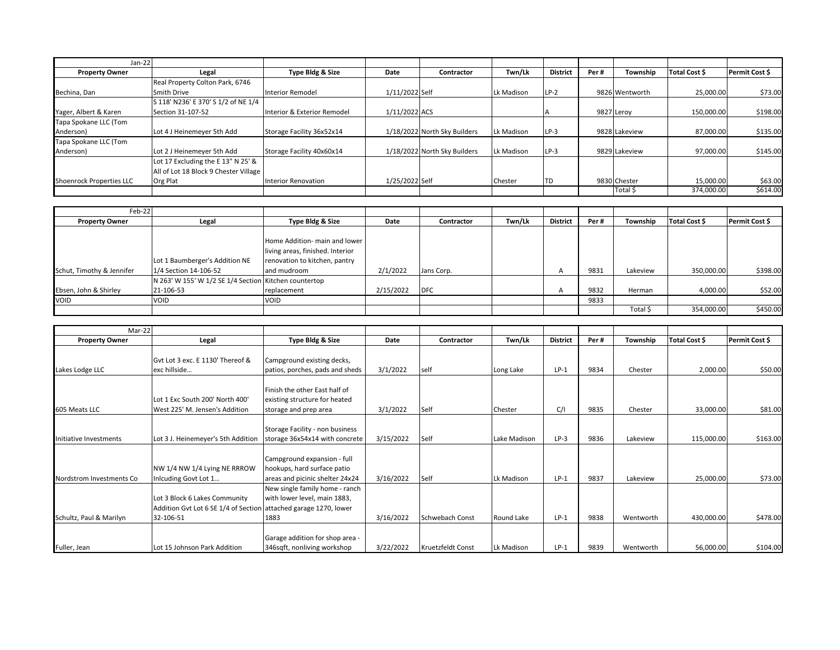| Jan-22                          |                                       |                             |                |                              |            |                 |      |                |               |                |
|---------------------------------|---------------------------------------|-----------------------------|----------------|------------------------------|------------|-----------------|------|----------------|---------------|----------------|
| <b>Property Owner</b>           | Legal                                 | Type Bldg & Size            | Date           | <b>Contractor</b>            | Twn/Lk     | <b>District</b> | Per# | Township       | Total Cost \$ | Permit Cost \$ |
|                                 | Real Property Colton Park, 6746       |                             |                |                              |            |                 |      |                |               |                |
| Bechina, Dan                    | Smith Drive                           | <b>Interior Remodel</b>     | 1/11/2022 Self |                              | Lk Madison | $LP-2$          |      | 9826 Wentworth | 25,000.00     | \$73.00        |
|                                 | S 118' N236' E 370' S 1/2 of NE 1/4   |                             |                |                              |            |                 |      |                |               |                |
| Yager, Albert & Karen           | Section 31-107-52                     | Interior & Exterior Remodel | 1/11/2022 ACS  |                              |            |                 |      | 9827 Leroy     | 150,000.00    | \$198.00       |
| Tapa Spokane LLC (Tom           |                                       |                             |                |                              |            |                 |      |                |               |                |
| Anderson)                       | Lot 4 J Heinemeyer 5th Add            | Storage Facility 36x52x14   |                | 1/18/2022 North Sky Builders | Lk Madison | LP-3            |      | 9828 Lakeview  | 87,000.00     | \$135.00       |
| Tapa Spokane LLC (Tom           |                                       |                             |                |                              |            |                 |      |                |               |                |
| Anderson)                       | Lot 2 J Heinemeyer 5th Add            | Storage Facility 40x60x14   |                | 1/18/2022 North Sky Builders | Lk Madison | $LP-3$          |      | 9829 Lakeview  | 97,000.00     | \$145.00       |
|                                 | Lot 17 Excluding the E 13" N 25' &    |                             |                |                              |            |                 |      |                |               |                |
|                                 | All of Lot 18 Block 9 Chester Village |                             |                |                              |            |                 |      |                |               |                |
| <b>Shoenrock Properties LLC</b> | Org Plat                              | <b>Interior Renovation</b>  | 1/25/2022 Self |                              | Chester    | 'TD             |      | 9830 Chester   | 15,000.00     | \$63.00        |
|                                 |                                       |                             |                |                              |            |                 |      | Total \$       | 374.000.00    | \$614.00       |

| Feb-22                    |                                                                    |                                                                                                                   |           |                   |        |                 |      |          |               |                |
|---------------------------|--------------------------------------------------------------------|-------------------------------------------------------------------------------------------------------------------|-----------|-------------------|--------|-----------------|------|----------|---------------|----------------|
| <b>Property Owner</b>     | Legal                                                              | Type Bldg & Size                                                                                                  | Date      | <b>Contractor</b> | Twn/Lk | <b>District</b> | Per# | Township | Total Cost \$ | Permit Cost \$ |
| Schut, Timothy & Jennifer | Lot 1 Baumberger's Addition NE<br>1/4 Section 14-106-52            | Home Addition- main and lower<br>living areas, finished. Interior<br>renovation to kitchen, pantry<br>and mudroom | 2/1/2022  | Jans Corp.        |        | $\overline{A}$  | 9831 | Lakeview | 350,000.00    | \$398.00       |
| Ebsen, John & Shirley     | N 263' W 155' W 1/2 SE 1/4 Section Kitchen countertop<br>21-106-53 | replacement                                                                                                       | 2/15/2022 | <b>DFC</b>        |        | $\mathsf{A}$    | 9832 | Herman   | 4,000.00      | \$52.00        |
| VOID                      | <b>VOID</b>                                                        | <b>VOID</b>                                                                                                       |           |                   |        |                 | 9833 |          |               |                |
|                           |                                                                    |                                                                                                                   |           |                   |        |                 |      | Total \$ | 354,000.00    | \$450.00       |

| Mar-22                   |                                                                  |                                 |           |                   |              |                 |      |           |               |                |
|--------------------------|------------------------------------------------------------------|---------------------------------|-----------|-------------------|--------------|-----------------|------|-----------|---------------|----------------|
| <b>Property Owner</b>    | Legal                                                            | Type Bldg & Size                | Date      | Contractor        | Twn/Lk       | <b>District</b> | Per# | Township  | Total Cost \$ | Permit Cost \$ |
|                          |                                                                  |                                 |           |                   |              |                 |      |           |               |                |
|                          | Gyt Lot 3 exc. E 1130' Thereof &                                 | Campground existing decks,      |           |                   |              |                 |      |           |               |                |
| Lakes Lodge LLC          | exc hillside                                                     | patios, porches, pads and sheds | 3/1/2022  | self              | Long Lake    | $LP-1$          | 9834 | Chester   | 2,000.00      | \$50.00        |
|                          |                                                                  |                                 |           |                   |              |                 |      |           |               |                |
|                          |                                                                  | Finish the other East half of   |           |                   |              |                 |      |           |               |                |
|                          | Lot 1 Exc South 200' North 400'                                  | existing structure for heated   |           |                   |              |                 |      |           |               |                |
| 605 Meats LLC            | West 225' M. Jensen's Addition                                   | storage and prep area           | 3/1/2022  | Self              | Chester      | C/I             | 9835 | Chester   | 33,000.00     | \$81.00        |
|                          |                                                                  |                                 |           |                   |              |                 |      |           |               |                |
|                          |                                                                  | Storage Facility - non business |           |                   |              |                 |      |           |               |                |
| initiative Investments   | Lot 3 J. Heinemeyer's 5th Addition                               | storage 36x54x14 with concrete  | 3/15/2022 | Self              | Lake Madison | $LP-3$          | 9836 | Lakeview  | 115,000.00    | \$163.00       |
|                          |                                                                  |                                 |           |                   |              |                 |      |           |               |                |
|                          |                                                                  | Campground expansion - full     |           |                   |              |                 |      |           |               |                |
|                          | NW 1/4 NW 1/4 Lying NE RRROW                                     | hookups, hard surface patio     |           |                   |              |                 |      |           |               |                |
| Nordstrom Investments Co | nlcuding Govt Lot 1                                              | areas and picinic shelter 24x24 | 3/16/2022 | Self              | Lk Madison   | $LP-1$          | 9837 | Lakeview  | 25,000.00     | \$73.00        |
|                          |                                                                  | New single family home - ranch  |           |                   |              |                 |      |           |               |                |
|                          | Lot 3 Block 6 Lakes Community                                    | with lower level, main 1883,    |           |                   |              |                 |      |           |               |                |
|                          | Addition Gvt Lot 6 SE 1/4 of Section attached garage 1270, lower |                                 |           |                   |              |                 |      |           |               |                |
| Schultz, Paul & Marilyn  | 32-106-51                                                        | 1883                            | 3/16/2022 | Schwebach Const   | Round Lake   | $LP-1$          | 9838 | Wentworth | 430,000.00    | \$478.00       |
|                          |                                                                  |                                 |           |                   |              |                 |      |           |               |                |
|                          |                                                                  | Garage addition for shop area - |           |                   |              |                 |      |           |               |                |
| Fuller, Jean             | Lot 15 Johnson Park Addition                                     | 346sqft, nonliving workshop     | 3/22/2022 | Kruetzfeldt Const | Lk Madison   | $LP-1$          | 9839 | Wentworth | 56,000.00     | \$104.00       |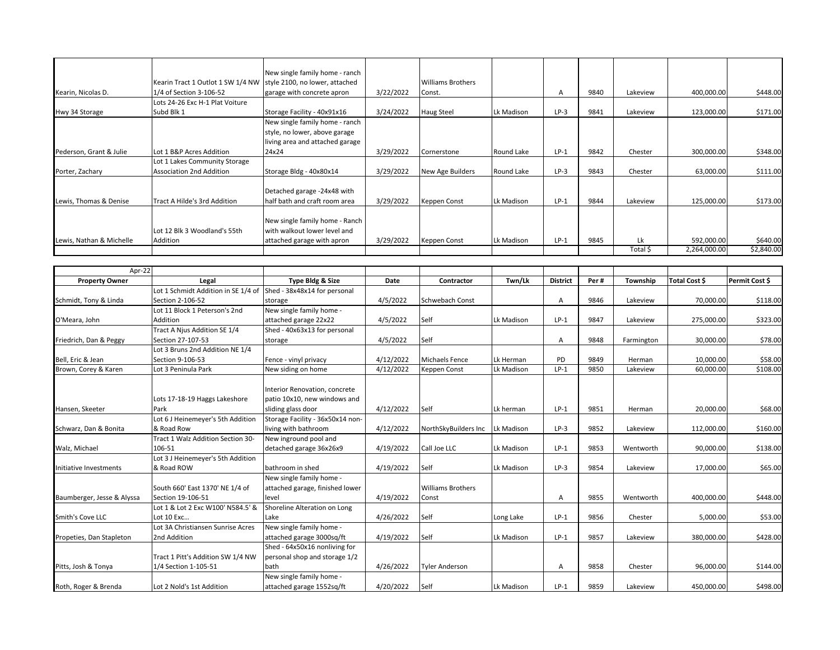|                          |                                                                  | New single family home - ranch                                 |           |                          |            |        |      |          |              |            |
|--------------------------|------------------------------------------------------------------|----------------------------------------------------------------|-----------|--------------------------|------------|--------|------|----------|--------------|------------|
|                          | Kearin Tract 1 Outlot 1 SW 1/4 NW style 2100, no lower, attached |                                                                |           | <b>Williams Brothers</b> |            |        |      |          |              |            |
| Kearin, Nicolas D.       | 1/4 of Section 3-106-52                                          | garage with concrete apron                                     | 3/22/2022 | Const.                   |            | A      | 9840 | Lakeview | 400,000.00   | \$448.00   |
|                          | Lots 24-26 Exc H-1 Plat Voiture                                  |                                                                |           |                          |            |        |      |          |              |            |
| Hwy 34 Storage           | Subd Blk 1                                                       | Storage Facility - 40x91x16                                    | 3/24/2022 | Haug Steel               | Lk Madison | $LP-3$ | 9841 | Lakeview | 123,000.00   | \$171.00   |
|                          |                                                                  | New single family home - ranch                                 |           |                          |            |        |      |          |              |            |
|                          |                                                                  | style, no lower, above garage                                  |           |                          |            |        |      |          |              |            |
|                          |                                                                  | living area and attached garage                                |           |                          |            |        |      |          |              |            |
| Pederson, Grant & Julie  | Lot 1 B&P Acres Addition                                         | 24x24                                                          | 3/29/2022 | Cornerstone              | Round Lake | $LP-1$ | 9842 | Chester  | 300,000.00   | \$348.00   |
|                          | Lot 1 Lakes Community Storage                                    |                                                                |           |                          |            |        |      |          |              |            |
| Porter, Zachary          | Association 2nd Addition                                         | Storage Bldg - 40x80x14                                        | 3/29/2022 | New Age Builders         | Round Lake | $LP-3$ | 9843 | Chester  | 63,000.00    | \$111.00   |
|                          |                                                                  | Detached garage -24x48 with                                    |           |                          |            |        |      |          |              |            |
| Lewis, Thomas & Denise   | Tract A Hilde's 3rd Addition                                     | half bath and craft room area                                  | 3/29/2022 | Keppen Const             | Lk Madison | $LP-1$ | 9844 | Lakeview | 125,000.00   | \$173.00   |
|                          | Lot 12 Blk 3 Woodland's 55th                                     | New single family home - Ranch<br>with walkout lower level and |           |                          |            |        |      |          |              |            |
| Lewis, Nathan & Michelle | Addition                                                         | attached garage with apron                                     | 3/29/2022 | Keppen Const             | Lk Madison | $LP-1$ | 9845 | Lk       | 592,000.00   | \$640.00   |
|                          |                                                                  |                                                                |           |                          |            |        |      | Total \$ | 2,264,000.00 | \$2,840.00 |

| Apr-22                     |                                                                  |                                  |           |                          |            |                 |      |            |                      |                |
|----------------------------|------------------------------------------------------------------|----------------------------------|-----------|--------------------------|------------|-----------------|------|------------|----------------------|----------------|
| <b>Property Owner</b>      | Legal                                                            | Type Bldg & Size                 | Date      | Contractor               | Twn/Lk     | <b>District</b> | Per# | Township   | <b>Total Cost \$</b> | Permit Cost \$ |
|                            | Lot 1 Schmidt Addition in SE 1/4 of Shed - 38x48x14 for personal |                                  |           |                          |            |                 |      |            |                      |                |
| Schmidt, Tony & Linda      | Section 2-106-52                                                 | storage                          | 4/5/2022  | <b>Schwebach Const</b>   |            | Α               | 9846 | Lakeview   | 70,000.00            | \$118.00       |
|                            | Lot 11 Block 1 Peterson's 2nd                                    | New single family home -         |           |                          |            |                 |      |            |                      |                |
| O'Meara, John              | Addition                                                         | attached garage 22x22            | 4/5/2022  | Self                     | Lk Madison | $LP-1$          | 9847 | Lakeview   | 275,000.00           | \$323.00       |
|                            | Tract A Njus Addition SE 1/4                                     | Shed - 40x63x13 for personal     |           |                          |            |                 |      |            |                      |                |
| Friedrich, Dan & Peggy     | Section 27-107-53                                                | storage                          | 4/5/2022  | Self                     |            | A               | 9848 | Farmington | 30,000.00            | \$78.00        |
|                            | Lot 3 Bruns 2nd Addition NE 1/4                                  |                                  |           |                          |            |                 |      |            |                      |                |
| Bell, Eric & Jean          | Section 9-106-53                                                 | Fence - vinyl privacy            | 4/12/2022 | <b>Michaels Fence</b>    | Lk Herman  | PD              | 9849 | Herman     | 10,000.00            | \$58.00        |
| Brown, Corey & Karen       | Lot 3 Peninula Park                                              | New siding on home               | 4/12/2022 | Keppen Const             | Lk Madison | $LP-1$          | 9850 | Lakeview   | 60,000.00            | \$108.00       |
|                            |                                                                  |                                  |           |                          |            |                 |      |            |                      |                |
|                            |                                                                  | Interior Renovation, concrete    |           |                          |            |                 |      |            |                      |                |
|                            | Lots 17-18-19 Haggs Lakeshore                                    | patio 10x10, new windows and     |           |                          |            |                 |      |            |                      |                |
| Hansen, Skeeter            | Park                                                             | sliding glass door               | 4/12/2022 | Self                     | Lk herman  | $LP-1$          | 9851 | Herman     | 20,000.00            | \$68.00        |
|                            | Lot 6 J Heinemeyer's 5th Addition                                | Storage Facility - 36x50x14 non- |           |                          |            |                 |      |            |                      |                |
| Schwarz, Dan & Bonita      | & Road Row                                                       | living with bathroom             | 4/12/2022 | NorthSkyBuilders Inc     | Lk Madison | $LP-3$          | 9852 | Lakeview   | 112,000.00           | \$160.00       |
|                            | Tract 1 Walz Addition Section 30-                                | New inground pool and            |           |                          |            |                 |      |            |                      |                |
| Walz, Michael              | 106-51                                                           | detached garage 36x26x9          | 4/19/2022 | Call Joe LLC             | Lk Madison | $LP-1$          | 9853 | Wentworth  | 90,000.00            | \$138.00       |
|                            | Lot 3 J Heinemeyer's 5th Addition                                |                                  |           |                          |            |                 |      |            |                      |                |
| Initiative Investments     | & Road ROW                                                       | bathroom in shed                 | 4/19/2022 | Self                     | Lk Madison | $LP-3$          | 9854 | Lakeview   | 17,000.00            | \$65.00        |
|                            |                                                                  | New single family home -         |           |                          |            |                 |      |            |                      |                |
|                            | South 660' East 1370' NE 1/4 of                                  | attached garage, finished lower  |           | <b>Williams Brothers</b> |            |                 |      |            |                      |                |
| Baumberger, Jesse & Alyssa | Section 19-106-51                                                | level                            | 4/19/2022 | Const                    |            | A               | 9855 | Wentworth  | 400,000.00           | \$448.00       |
|                            | Lot 1 & Lot 2 Exc W100' N584.5' &                                | Shoreline Alteration on Long     |           |                          |            |                 |      |            |                      |                |
| Smith's Cove LLC           | Lot 10 Exc                                                       | Lake                             | 4/26/2022 | Self                     | Long Lake  | $LP-1$          | 9856 | Chester    | 5,000.00             | \$53.00        |
|                            | Lot 3A Christiansen Sunrise Acres                                | New single family home -         |           |                          |            |                 |      |            |                      |                |
| Propeties, Dan Stapleton   | 2nd Addition                                                     | attached garage 3000sq/ft        | 4/19/2022 | Self                     | Lk Madison | $LP-1$          | 9857 | Lakeview   | 380,000.00           | \$428.00       |
|                            |                                                                  | Shed - 64x50x16 nonliving for    |           |                          |            |                 |      |            |                      |                |
|                            | Tract 1 Pitt's Addition SW 1/4 NW                                | personal shop and storage 1/2    |           |                          |            |                 |      |            |                      |                |
| Pitts, Josh & Tonya        | 1/4 Section 1-105-51                                             | bath                             | 4/26/2022 | <b>Tyler Anderson</b>    |            | A               | 9858 | Chester    | 96,000.00            | \$144.00       |
|                            |                                                                  | New single family home -         |           |                          |            |                 |      |            |                      |                |
| Roth, Roger & Brenda       | Lot 2 Nold's 1st Addition                                        | attached garage 1552sq/ft        | 4/20/2022 | Self                     | Lk Madison | $LP-1$          | 9859 | Lakeview   | 450,000.00           | \$498.00       |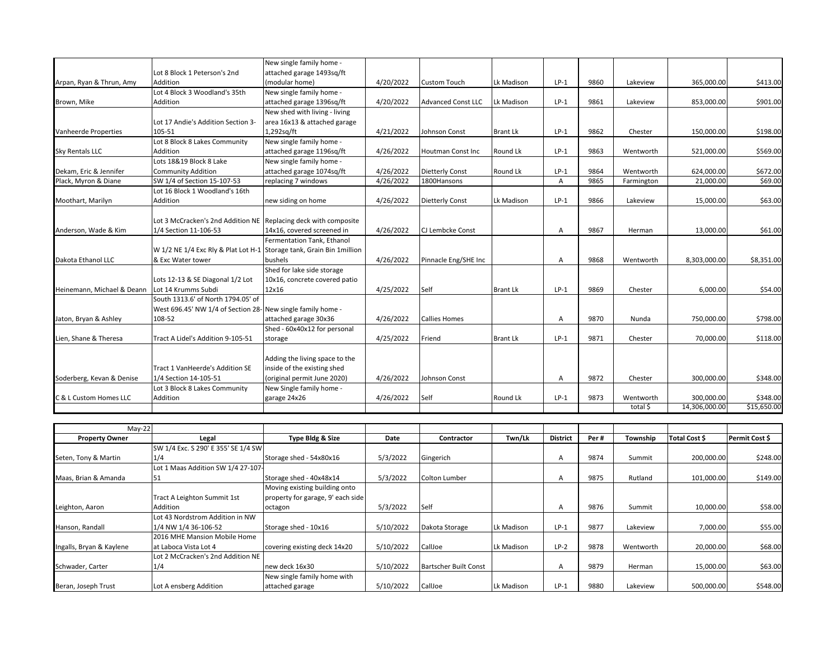|                            |                                                                       | New single family home -          |           |                           |                 |                 |      |            |               |                |
|----------------------------|-----------------------------------------------------------------------|-----------------------------------|-----------|---------------------------|-----------------|-----------------|------|------------|---------------|----------------|
|                            | Lot 8 Block 1 Peterson's 2nd                                          | attached garage 1493sq/ft         |           |                           |                 |                 |      |            |               |                |
| Arpan, Ryan & Thrun, Amy   | Addition                                                              | (modular home)                    | 4/20/2022 | <b>Custom Touch</b>       | Lk Madison      | $LP-1$          | 9860 | Lakeview   | 365,000.00    | \$413.00       |
|                            | Lot 4 Block 3 Woodland's 35th                                         | New single family home -          |           |                           |                 |                 |      |            |               |                |
| Brown, Mike                | Addition                                                              | attached garage 1396sq/ft         | 4/20/2022 | <b>Advanced Const LLC</b> | Lk Madison      | $LP-1$          | 9861 | Lakeview   | 853,000.00    | \$901.00       |
|                            |                                                                       | New shed with living - living     |           |                           |                 |                 |      |            |               |                |
|                            | Lot 17 Andie's Addition Section 3-                                    | area 16x13 & attached garage      |           |                           |                 |                 |      |            |               |                |
| Vanheerde Properties       | 105-51                                                                | 1,292sq/ft                        | 4/21/2022 | Johnson Const             | <b>Brant Lk</b> | $LP-1$          | 9862 | Chester    | 150,000.00    | \$198.00       |
|                            | Lot 8 Block 8 Lakes Community                                         | New single family home -          |           |                           |                 |                 |      |            |               |                |
| <b>Sky Rentals LLC</b>     | Addition                                                              | attached garage 1196sq/ft         | 4/26/2022 | <b>Houtman Const Inc</b>  | Round Lk        | $LP-1$          | 9863 | Wentworth  | 521,000.00    | \$569.00       |
|                            | Lots 18&19 Block 8 Lake                                               | New single family home -          |           |                           |                 |                 |      |            |               |                |
| Dekam, Eric & Jennifer     | <b>Community Addition</b>                                             | attached garage 1074sq/ft         | 4/26/2022 | <b>Dietterly Const</b>    | Round Lk        | $LP-1$          | 9864 | Wentworth  | 624,000.00    | \$672.00       |
| Plack, Myron & Diane       | SW 1/4 of Section 15-107-53                                           | replacing 7 windows               | 4/26/2022 | 1800Hansons               |                 | $\mathsf{A}$    | 9865 | Farmington | 21,000.00     | \$69.00        |
|                            | Lot 16 Block 1 Woodland's 16th                                        |                                   |           |                           |                 |                 |      |            |               |                |
| Moothart, Marilyn          | Addition                                                              | new siding on home                | 4/26/2022 | <b>Dietterly Const</b>    | Lk Madison      | $LP-1$          | 9866 | Lakeview   | 15,000.00     | \$63.00        |
|                            |                                                                       |                                   |           |                           |                 |                 |      |            |               |                |
|                            | Lot 3 McCracken's 2nd Addition NE Replacing deck with composite       |                                   |           |                           |                 |                 |      |            |               |                |
| Anderson, Wade & Kim       | 1/4 Section 11-106-53                                                 | 14x16, covered screened in        | 4/26/2022 | CJ Lembcke Const          |                 | $\overline{A}$  | 9867 | Herman     | 13,000.00     | \$61.00        |
|                            |                                                                       | Fermentation Tank, Ethanol        |           |                           |                 |                 |      |            |               |                |
|                            | W 1/2 NE 1/4 Exc Rly & Plat Lot H-1 Storage tank, Grain Bin 1 million |                                   |           |                           |                 |                 |      |            |               |                |
| Dakota Ethanol LLC         | & Exc Water tower                                                     | bushels                           | 4/26/2022 | Pinnacle Eng/SHE Inc      |                 | $\overline{A}$  | 9868 | Wentworth  | 8,303,000.00  | \$8,351.00     |
|                            |                                                                       | Shed for lake side storage        |           |                           |                 |                 |      |            |               |                |
|                            | Lots 12-13 & SE Diagonal 1/2 Lot                                      | 10x16, concrete covered patio     |           |                           |                 |                 |      |            |               |                |
| Heinemann. Michael & Deann | Lot 14 Krumms Subdi                                                   | 12×16                             | 4/25/2022 | Self                      | <b>Brant Lk</b> | $LP-1$          | 9869 | Chester    | 6,000.00      | \$54.00        |
|                            | South 1313.6' of North 1794.05' of                                    |                                   |           |                           |                 |                 |      |            |               |                |
|                            | West 696.45' NW 1/4 of Section 28- New single family home -           |                                   |           |                           |                 |                 |      |            |               |                |
| Jaton, Bryan & Ashley      | 108-52                                                                | attached garage 30x36             | 4/26/2022 | <b>Callies Homes</b>      |                 | Α               | 9870 | Nunda      | 750,000.00    | \$798.00       |
|                            |                                                                       | Shed - 60x40x12 for personal      |           |                           |                 |                 |      |            |               |                |
| Lien, Shane & Theresa      | Tract A Lidel's Addition 9-105-51                                     | storage                           | 4/25/2022 | Friend                    | <b>Brant Lk</b> | $LP-1$          | 9871 | Chester    | 70,000.00     | \$118.00       |
|                            |                                                                       |                                   |           |                           |                 |                 |      |            |               |                |
|                            |                                                                       | Adding the living space to the    |           |                           |                 |                 |      |            |               |                |
|                            | Tract 1 VanHeerde's Addition SE                                       | inside of the existing shed       |           |                           |                 |                 |      |            |               |                |
| Soderberg, Kevan & Denise  | 1/4 Section 14-105-51                                                 | (original permit June 2020)       | 4/26/2022 | Johnson Const             |                 | Α               | 9872 | Chester    | 300,000.00    | \$348.00       |
|                            | Lot 3 Block 8 Lakes Community                                         | New Single family home -          |           |                           |                 |                 |      |            |               |                |
| C & L Custom Homes LLC     | <b>Addition</b>                                                       | garage 24x26                      | 4/26/2022 | Self                      | Round Lk        | $LP-1$          | 9873 | Wentworth  | 300,000.00    | \$348.00       |
|                            |                                                                       |                                   |           |                           |                 |                 |      | total \$   | 14,306,000.00 | \$15,650.00    |
|                            |                                                                       |                                   |           |                           |                 |                 |      |            |               |                |
| $May-22$                   |                                                                       |                                   |           |                           |                 |                 |      |            |               |                |
| <b>Property Owner</b>      | Legal                                                                 | Type Bldg & Size                  | Date      | Contractor                | Twn/Lk          | <b>District</b> | Per# | Township   | Total Cost \$ | Permit Cost \$ |
|                            | SW 1/4 Exc. S 290' E 355' SE 1/4 SW                                   |                                   |           |                           |                 |                 |      |            |               |                |
|                            | 1/4                                                                   |                                   | 5/3/2022  |                           |                 |                 | 9874 |            |               | \$248.00       |
| Seten, Tony & Martin       | Lot 1 Maas Addition SW 1/4 27-107                                     | Storage shed - 54x80x16           |           | Gingerich                 |                 | A               |      | Summit     | 200,000.00    |                |
|                            |                                                                       |                                   |           |                           |                 |                 |      |            |               |                |
| Maas, Brian & Amanda       | 51                                                                    | Storage shed - 40x48x14           | 5/3/2022  | <b>Colton Lumber</b>      |                 | $\mathsf{A}$    | 9875 | Rutland    | 101,000.00    | \$149.00       |
|                            |                                                                       | Moving existing building onto     |           |                           |                 |                 |      |            |               |                |
|                            | Tract A Leighton Summit 1st                                           | property for garage, 9' each side |           |                           |                 |                 |      |            |               |                |

octagon | 5/3/2022 |Self | | A | 9876 | Summit | 10,000.00| \$58.00

attached garage 5/10/2022 CallJoe Lk Madison LP-1 9880 Lakeview 500,000.00 \$548.00

1/4 NW 1/4 36-106-52 Storage shed - 10x16 5/10/2022 Dakota Storage Lk Madison LP-1 9877 Lakeview 7,000.00 \$55.00

at Laboca Vista Lot 4 covering existing deck 14x20 5/10/2022 CallJoe Lk Madison LP-2 9878 Wentworth 20,000.00 \$68.00

1/4 1. new deck 16x30 5/10/2022 Bartscher Built Const | A 9879 Herman | 15,000.00 \$63.00

Leighton, Aaron

Hanson, Randall

Schwader, Carter

Ingalls, Bryan & Kaylene

Addition

Beran, Joseph Trust Lot A ensberg Addition

Lot 43 Nordstrom Addition in NW

2016 MHE Mansion Mobile Home

Lot 2 McCracken's 2nd Addition NE

New single family home with